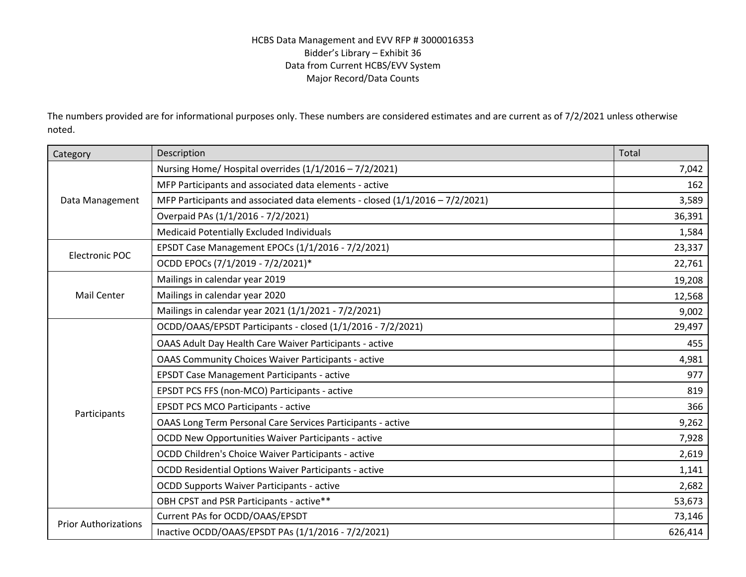## HCBS Data Management and EVV RFP # 3000016353 Bidder's Library – Exhibit 36 Data from Current HCBS/EVV System Major Record/Data Counts

The numbers provided are for informational purposes only. These numbers are considered estimates and are current as of 7/2/2021 unless otherwise noted.

| Category                    | Description                                                                    | Total   |
|-----------------------------|--------------------------------------------------------------------------------|---------|
| Data Management             | Nursing Home/ Hospital overrides (1/1/2016 - 7/2/2021)                         | 7,042   |
|                             | MFP Participants and associated data elements - active                         | 162     |
|                             | MFP Participants and associated data elements - closed $(1/1/2016 - 7/2/2021)$ | 3,589   |
|                             | Overpaid PAs (1/1/2016 - 7/2/2021)                                             | 36,391  |
|                             | Medicaid Potentially Excluded Individuals                                      | 1,584   |
| <b>Electronic POC</b>       | EPSDT Case Management EPOCs (1/1/2016 - 7/2/2021)                              | 23,337  |
|                             | OCDD EPOCs (7/1/2019 - 7/2/2021)*                                              | 22,761  |
| <b>Mail Center</b>          | Mailings in calendar year 2019                                                 | 19,208  |
|                             | Mailings in calendar year 2020                                                 | 12,568  |
|                             | Mailings in calendar year 2021 (1/1/2021 - 7/2/2021)                           | 9,002   |
| Participants                | OCDD/OAAS/EPSDT Participants - closed (1/1/2016 - 7/2/2021)                    | 29,497  |
|                             | OAAS Adult Day Health Care Waiver Participants - active                        | 455     |
|                             | <b>OAAS Community Choices Waiver Participants - active</b>                     | 4,981   |
|                             | <b>EPSDT Case Management Participants - active</b>                             | 977     |
|                             | EPSDT PCS FFS (non-MCO) Participants - active                                  | 819     |
|                             | <b>EPSDT PCS MCO Participants - active</b>                                     | 366     |
|                             | <b>OAAS Long Term Personal Care Services Participants - active</b>             | 9,262   |
|                             | OCDD New Opportunities Waiver Participants - active                            | 7,928   |
|                             | OCDD Children's Choice Waiver Participants - active                            | 2,619   |
|                             | <b>OCDD Residential Options Waiver Participants - active</b>                   | 1,141   |
|                             | <b>OCDD Supports Waiver Participants - active</b>                              | 2,682   |
|                             | OBH CPST and PSR Participants - active**                                       | 53,673  |
| <b>Prior Authorizations</b> | Current PAs for OCDD/OAAS/EPSDT                                                | 73,146  |
|                             | Inactive OCDD/OAAS/EPSDT PAs (1/1/2016 - 7/2/2021)                             | 626,414 |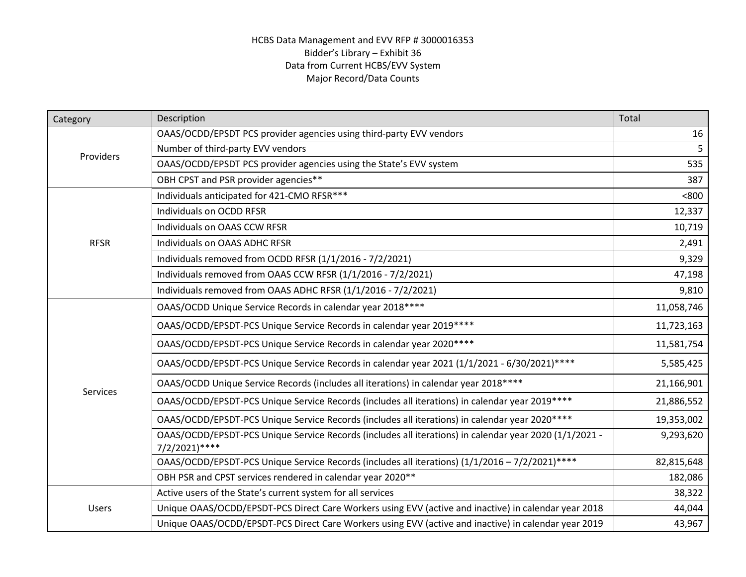## HCBS Data Management and EVV RFP # 3000016353 Bidder's Library – Exhibit 36 Data from Current HCBS/EVV System Major Record/Data Counts

| Category        | Description                                                                                                             | Total      |
|-----------------|-------------------------------------------------------------------------------------------------------------------------|------------|
| Providers       | OAAS/OCDD/EPSDT PCS provider agencies using third-party EVV vendors                                                     | 16         |
|                 | Number of third-party EVV vendors                                                                                       | 5.         |
|                 | OAAS/OCDD/EPSDT PCS provider agencies using the State's EVV system                                                      | 535        |
|                 | OBH CPST and PSR provider agencies**                                                                                    | 387        |
| <b>RFSR</b>     | Individuals anticipated for 421-CMO RFSR***                                                                             | < 800      |
|                 | Individuals on OCDD RFSR                                                                                                | 12,337     |
|                 | Individuals on OAAS CCW RFSR                                                                                            | 10,719     |
|                 | Individuals on OAAS ADHC RFSR                                                                                           | 2,491      |
|                 | Individuals removed from OCDD RFSR (1/1/2016 - 7/2/2021)                                                                | 9,329      |
|                 | Individuals removed from OAAS CCW RFSR (1/1/2016 - 7/2/2021)                                                            | 47,198     |
|                 | Individuals removed from OAAS ADHC RFSR (1/1/2016 - 7/2/2021)                                                           | 9,810      |
|                 | OAAS/OCDD Unique Service Records in calendar year 2018 ****                                                             | 11,058,746 |
|                 | OAAS/OCDD/EPSDT-PCS Unique Service Records in calendar year 2019 ****                                                   | 11,723,163 |
|                 | OAAS/OCDD/EPSDT-PCS Unique Service Records in calendar year 2020****                                                    | 11,581,754 |
|                 | OAAS/OCDD/EPSDT-PCS Unique Service Records in calendar year 2021 (1/1/2021 - 6/30/2021)****                             | 5,585,425  |
| <b>Services</b> | OAAS/OCDD Unique Service Records (includes all iterations) in calendar year 2018 ****                                   | 21,166,901 |
|                 | OAAS/OCDD/EPSDT-PCS Unique Service Records (includes all iterations) in calendar year 2019 ****                         | 21,886,552 |
|                 | OAAS/OCDD/EPSDT-PCS Unique Service Records (includes all iterations) in calendar year 2020 ****                         | 19,353,002 |
|                 | OAAS/OCDD/EPSDT-PCS Unique Service Records (includes all iterations) in calendar year 2020 (1/1/2021 -<br>7/2/2021)**** | 9,293,620  |
|                 | OAAS/OCDD/EPSDT-PCS Unique Service Records (includes all iterations) (1/1/2016 - 7/2/2021)****                          | 82,815,648 |
|                 | OBH PSR and CPST services rendered in calendar year 2020**                                                              | 182,086    |
| Users           | Active users of the State's current system for all services                                                             | 38,322     |
|                 | Unique OAAS/OCDD/EPSDT-PCS Direct Care Workers using EVV (active and inactive) in calendar year 2018                    | 44,044     |
|                 | Unique OAAS/OCDD/EPSDT-PCS Direct Care Workers using EVV (active and inactive) in calendar year 2019                    | 43,967     |